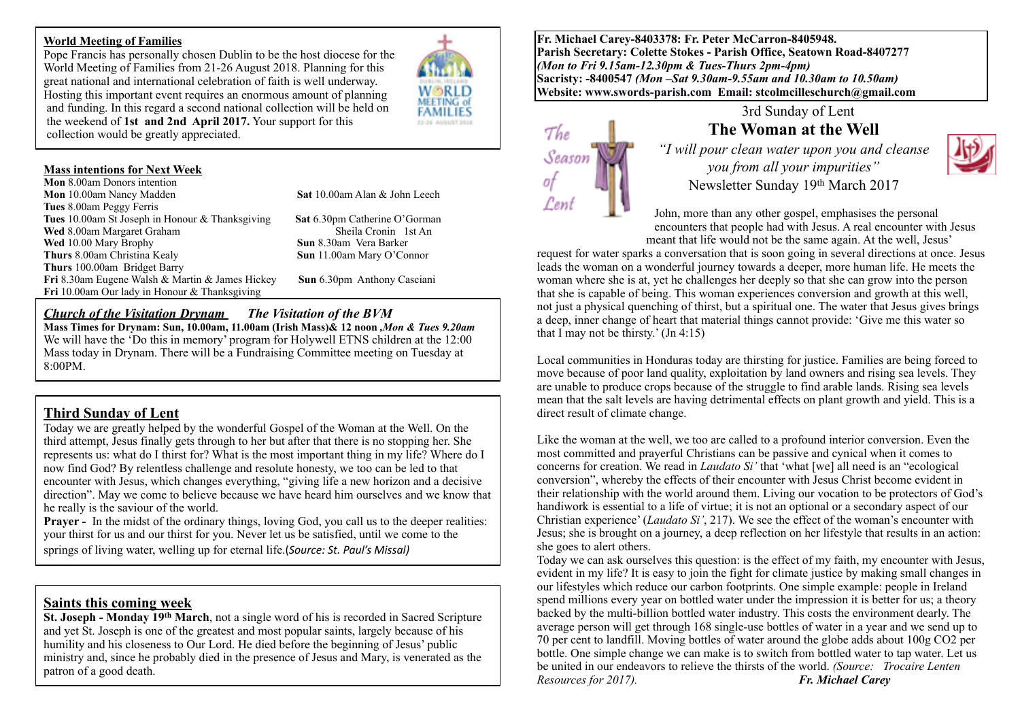#### **World Meeting of Families**

Pope Francis has personally chosen Dublin to be the host diocese for the World Meeting of Families from 21-26 August 2018. Planning for this great national and international celebration of faith is well underway. Hosting this important event requires an enormous amount of planning and funding. In this regard a second national collection will be held on the weekend of **1st and 2nd April 2017.** Your support for this collection would be greatly appreciated.

### **Mass intentions for Next Week**

**Mon** 8.00am Donors intention **Mon** 10.00am Nancy Madden **Sat** 10.00am Alan & John Leech **Tues** 8.00am Peggy Ferris **Tues** 10.00am St Joseph in Honour & Thanksgiving **Sat** 6.30pm Catherine O'Gorman **Wed** 8.00am Margaret Graham **Wed** 10.00 Mary Brophy **Sun** 8.30am Vera Barker<br> **Sun** 11.00am Mary O'Co **Thurs** 100.00am Bridget Barry **Fri** 8.30am Eugene Walsh & Martin & James Hickey **Sun** 6.30pm Anthony Casciani **Fri** 10.00am Our lady in Honour & Thanksgiving

**W@RLD** MEETING of **FAMILIES** 13-14 AUGUST 2018

**Sun** 11.00am Mary O'Connor

## *Church of the Visitation Drynam**The Visitation of the BVM*

**Mass Times for Drynam: Sun, 10.00am, 11.00am (Irish Mass)& 12 noon** *,Mon & Tues 9.20am* We will have the 'Do this in memory' program for Holywell ETNS children at the 12:00 Mass today in Drynam. There will be a Fundraising Committee meeting on Tuesday at 8:00PM.

# **Third Sunday of Lent**

Today we are greatly helped by the wonderful Gospel of the Woman at the Well. On the third attempt, Jesus finally gets through to her but after that there is no stopping her. She represents us: what do I thirst for? What is the most important thing in my life? Where do I now find God? By relentless challenge and resolute honesty, we too can be led to that encounter with Jesus, which changes everything, "giving life a new horizon and a decisive direction". May we come to believe because we have heard him ourselves and we know that he really is the saviour of the world.

**Prayer -** In the midst of the ordinary things, loving God, you call us to the deeper realities: your thirst for us and our thirst for you. Never let us be satisfied, until we come to the springs of living water, welling up for eternal life.(*Source: St. Paul's Missal*)

**Saints this coming week**<br>St. Joseph - Monday 19<sup>th</sup> March, not a single word of his is recorded in Sacred Scripture and yet St. Joseph is one of the greatest and most popular saints, largely because of his humility and his closeness to Our Lord. He died before the beginning of Jesus' public ministry and, since he probably died in the presence of Jesus and Mary, is venerated as the patron of a good death.

**Fr. Michael Carey-8403378: Fr. Peter McCarron-8405948. Parish Secretary: Colette Stokes - Parish Office, Seatown Road-8407277**  *(Mon to Fri 9.15am-12.30pm & Tues-Thurs 2pm-4pm)*  **Sacristy: -8400547** *(Mon –Sat 9.30am-9.55am and 10.30am to 10.50am)* **Website: [www.swords-parish.com Email:](http://www.swords-parish.com%20%20email) stcolmcilleschurch@gmail.com**



## 3rd Sunday of Lent **The Woman at the Well**

*"I will pour clean water upon you and cleanse you from all your impurities"*  Newsletter Sunday 19th March 2017



John, more than any other gospel, emphasises the personal encounters that people had with Jesus. A real encounter with Jesus meant that life would not be the same again. At the well, Jesus'

request for water sparks a conversation that is soon going in several directions at once. Jesus leads the woman on a wonderful journey towards a deeper, more human life. He meets the woman where she is at, yet he challenges her deeply so that she can grow into the person that she is capable of being. This woman experiences conversion and growth at this well, not just a physical quenching of thirst, but a spiritual one. The water that Jesus gives brings a deep, inner change of heart that material things cannot provide: 'Give me this water so that I may not be thirsty.'  $(In 4:15)$ 

Local communities in Honduras today are thirsting for justice. Families are being forced to move because of poor land quality, exploitation by land owners and rising sea levels. They are unable to produce crops because of the struggle to find arable lands. Rising sea levels mean that the salt levels are having detrimental effects on plant growth and yield. This is a direct result of climate change.

Like the woman at the well, we too are called to a profound interior conversion. Even the most committed and prayerful Christians can be passive and cynical when it comes to concerns for creation. We read in *Laudato Si'* that 'what [we] all need is an "ecological conversion", whereby the effects of their encounter with Jesus Christ become evident in their relationship with the world around them. Living our vocation to be protectors of God's handiwork is essential to a life of virtue; it is not an optional or a secondary aspect of our Christian experience' (*Laudato Si'*, 217). We see the effect of the woman's encounter with Jesus; she is brought on a journey, a deep reflection on her lifestyle that results in an action: she goes to alert others.

Today we can ask ourselves this question: is the effect of my faith, my encounter with Jesus, evident in my life? It is easy to join the fight for climate justice by making small changes in our lifestyles which reduce our carbon footprints. One simple example: people in Ireland spend millions every year on bottled water under the impression it is better for us; a theory backed by the multi-billion bottled water industry. This costs the environment dearly. The average person will get through 168 single-use bottles of water in a year and we send up to 70 per cent to landfill. Moving bottles of water around the globe adds about 100g CO2 per bottle. One simple change we can make is to switch from bottled water to tap water. Let us be united in our endeavors to relieve the thirsts of the world. *(Source: Trocaire Lenten Resources for 2017). Fr. Michael Carey*